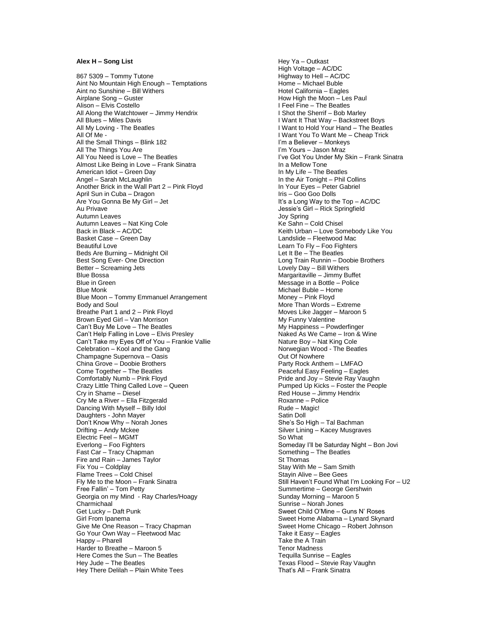## **Alex H – Song List**

867 5309 – Tommy Tutone Aint No Mountain High Enough – Temptations Aint no Sunshine – Bill Withers Airplane Song – Guster Alison – Elvis Costello All Along the Watchtower – Jimmy Hendrix All Blues – Miles Davis All My Loving - The Beatles All Of Me - All the Small Things – Blink 182 All The Things You Are All You Need is Love – The Beatles Almost Like Being in Love – Frank Sinatra American Idiot – Green Day Angel – Sarah McLaughlin Another Brick in the Wall Part 2 – Pink Floyd April Sun in Cuba – Dragon Are You Gonna Be My Girl – Jet Au Privave Autumn Leaves Autumn Leaves – Nat King Cole Back in Black – AC/DC Basket Case – Green Day Beautiful Love Beds Are Burning – Midnight Oil Best Song Ever - One Direction Better – Screaming Jets Blue Bossa Blue in Green Blue Monk Blue Moon – Tommy Emmanuel Arrangement Body and Soul Breathe Part 1 and 2 – Pink Floyd Brown Eyed Girl – Van Morrison Can't Buy Me Love – The Beatles Can't Help Falling in Love – Elvis Presley Can't Take my Eyes Off of You – Frankie Vallie Celebration – Kool and the Gang Champagne Supernova – Oasis China Grove – Doobie Brothers Come Together – The Beatles Comfortably Numb – Pink Floyd Crazy Little Thing Called Love – Queen Cry in Shame – Diesel Cry Me a River – Ella Fitzgerald Dancing With Myself – Billy Idol Daughters - John Mayer Don't Know Why – Norah Jones Drifting – Andy Mckee Electric Feel – MGMT Everlong – Foo Fighters Fast Car – Tracy Chapman Fire and Rain – James Taylor Fix You – Coldplay Flame Trees – Cold Chisel Fly Me to the Moon – Frank Sinatra Free Fallin' – Tom Petty Georgia on my Mind - Ray Charles/Hoagy Charmichaal Get Lucky – Daft Punk Girl From Ipanema Give Me One Reason – Tracy Chapman Go Your Own Way – Fleetwood Mac Happy – Pharell Harder to Breathe – Maroon 5 Here Comes the Sun – The Beatles Hey Jude – The Beatles Hey There Delilah – Plain White Tees

Hey Ya – Outkast High Voltage – AC/DC Highway to Hell – AC/DC Home – Michael Buble Hotel California – Eagles How High the Moon – Les Paul I Feel Fine – The Beatles I Shot the Sherrif – Bob Marley I Want It That Way – Backstreet Boys I Want to Hold Your Hand – The Beatles I Want You To Want Me – Cheap Trick I'm a Believer – Monkeys I'm Yours – Jason Mraz I've Got You Under My Skin – Frank Sinatra In a Mellow Tone In My Life – The Beatles In the Air Tonight – Phil Collins In Your Eyes – Peter Gabriel Iris – Goo Goo Dolls It's a Long Way to the Top – AC/DC Jessie's Girl – Rick Springfield Joy Spring Ke Sahn – Cold Chisel Keith Urban – Love Somebody Like You Landslide – Fleetwood Mac Learn To Fly – Foo Fighters Let It Be – The Beatles Long Train Runnin – Doobie Brothers Lovely Day – Bill Withers Margaritaville – Jimmy Buffet Message in a Bottle – Police Michael Buble – Home Money – Pink Floyd More Than Words – Extreme Moves Like Jagger – Maroon 5 My Funny Valentine My Happiness – Powderfinger Naked As We Came – Iron & Wine Nature Boy – Nat King Cole Norwegian Wood - The Beatles Out Of Nowhere Party Rock Anthem – LMFAO Peaceful Easy Feeling – Eagles Pride and Joy – Stevie Ray Vaughn Pumped Up Kicks – Foster the People Red House – Jimmy Hendrix Roxanne – Police Rude – Magic! Satin Doll She's So High – Tal Bachman Silver Lining – Kacey Musgraves So What Someday I'll be Saturday Night – Bon Jovi Something – The Beatles St Thomas Stay With Me – Sam Smith Stayin Alive – Bee Gees Still Haven't Found What I'm Looking For – U2 Summertime – George Gershwin Sunday Morning – Maroon 5 Sunrise – Norah Jones Sweet Child O'Mine – Guns N' Roses Sweet Home Alabama – Lynard Skynard Sweet Home Chicago – Robert Johnson Take it Easy – Eagles Take the A Train Tenor Madness Tequilla Sunrise – Eagles Texas Flood – Stevie Ray Vaughn That's All – Frank Sinatra